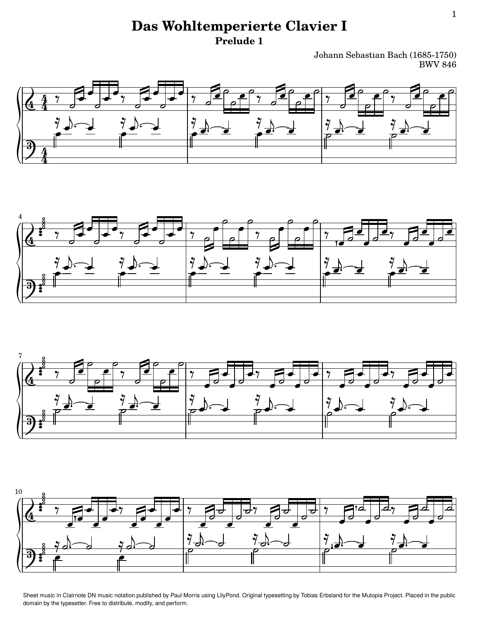## **Das Wohltemperierte Clavier I Prelude 1**

Johann Sebastian Bach (1685-1750) BWV 846









Sheet music in [Clairnote DN music notation](http://clairnote.org/dn/) published by Paul Morris using [LilyPond.](http://www.lilypond.org) Original typesetting by Tobias Erbsland for the [Mutopia Project.](http://www.mutopiaproject.org) Placed in the [public](http://creativecommons.org/publicdomain/zero/1.0/) [domain](http://creativecommons.org/publicdomain/zero/1.0/) by the typesetter. Free to distribute, modify, and perform.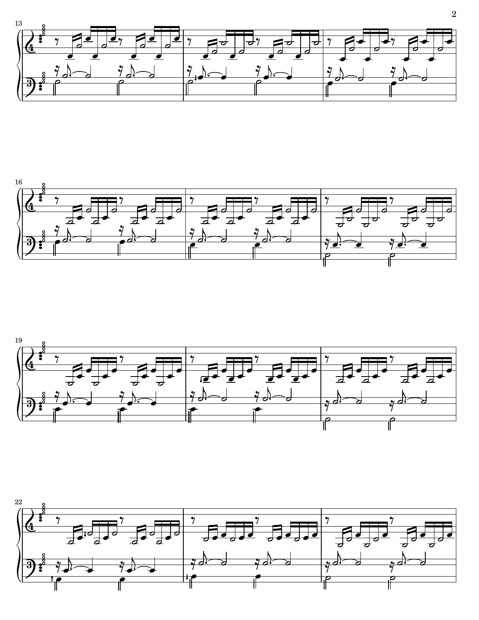